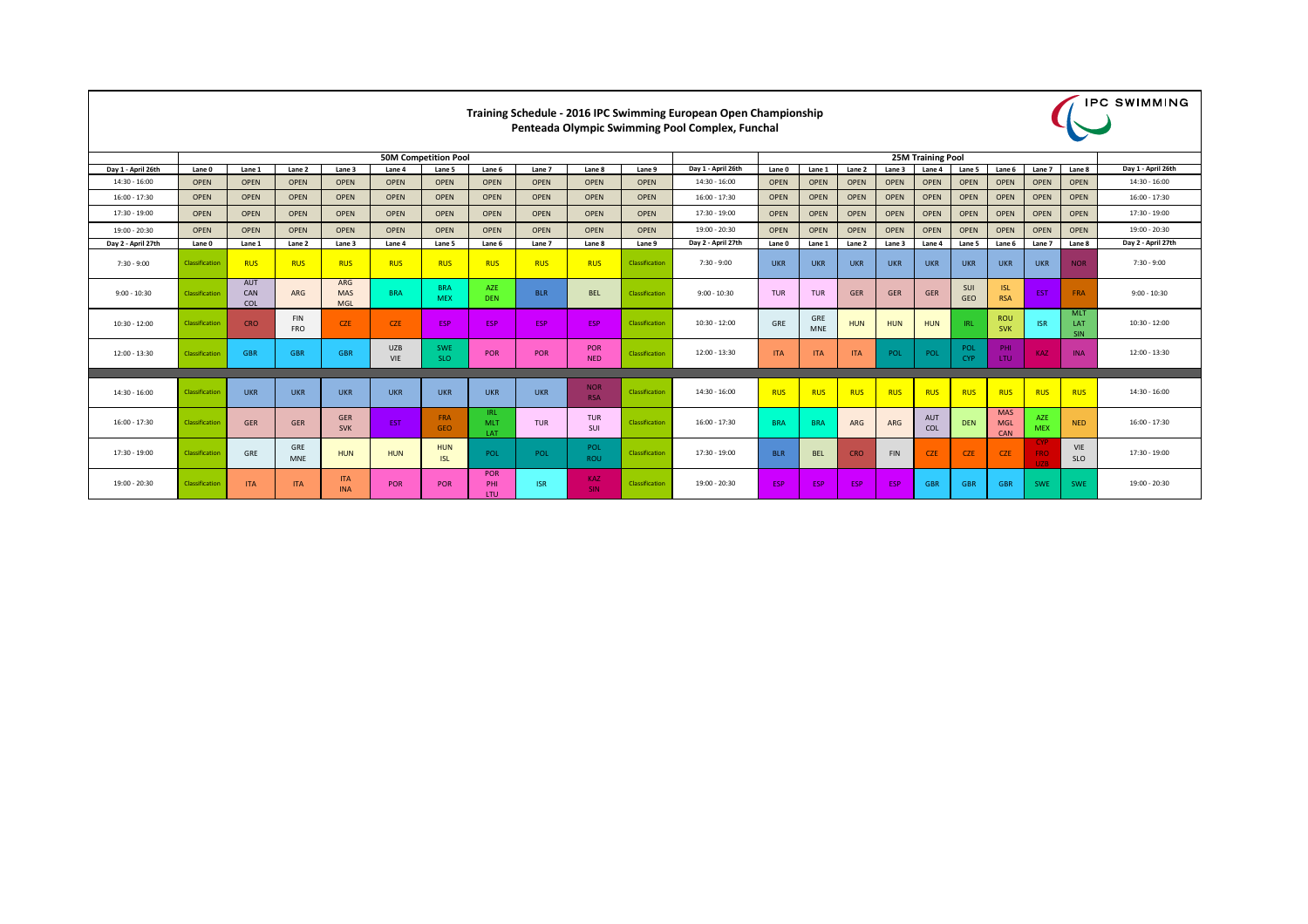|                    | <b>50M Competition Pool</b> |                                        |                          |                                        |                          |                          |                                  |             |                          |                |                    |             | <b>25M Training Pool</b> |             |             |                   |                          |                                        |                          |                                 |                    |  |  |
|--------------------|-----------------------------|----------------------------------------|--------------------------|----------------------------------------|--------------------------|--------------------------|----------------------------------|-------------|--------------------------|----------------|--------------------|-------------|--------------------------|-------------|-------------|-------------------|--------------------------|----------------------------------------|--------------------------|---------------------------------|--------------------|--|--|
| Day 1 - April 26th | Lane 0                      | Lane 1                                 | Lane 2                   | Lane 3                                 | Lane 4                   | Lane 5                   | Lane 6                           | Lane 7      | Lane <sub>8</sub>        | Lane 9         | Day 1 - April 26th | Lane 0      | Lane 1                   | Lane 2      | Lane 3      | Lane 4            | Lane 5                   | Lane 6                                 | Lane 7                   | Lane 8                          | Day 1 - April 26th |  |  |
| 14:30 - 16:00      | <b>OPEN</b>                 | <b>OPEN</b>                            | <b>OPEN</b>              | <b>OPEN</b>                            | <b>OPEN</b>              | <b>OPEN</b>              | <b>OPEN</b>                      | <b>OPEN</b> | <b>OPEN</b>              | <b>OPEN</b>    | $14:30 - 16:00$    | <b>OPEN</b> | <b>OPEN</b>              | <b>OPEN</b> | <b>OPEN</b> | <b>OPEN</b>       | <b>OPEN</b>              | <b>OPEN</b>                            | <b>OPEN</b>              | <b>OPEN</b>                     | $14:30 - 16:00$    |  |  |
| 16:00 - 17:30      | <b>OPEN</b>                 | <b>OPEN</b>                            | <b>OPEN</b>              | <b>OPEN</b>                            | <b>OPEN</b>              | <b>OPEN</b>              | <b>OPEN</b>                      | <b>OPEN</b> | <b>OPEN</b>              | <b>OPEN</b>    | $16:00 - 17:30$    | <b>OPEN</b> | <b>OPEN</b>              | <b>OPEN</b> | <b>OPEN</b> | <b>OPEN</b>       | <b>OPEN</b>              | <b>OPEN</b>                            | <b>OPEN</b>              | <b>OPEN</b>                     | $16:00 - 17:30$    |  |  |
| 17:30 - 19:00      | <b>OPEN</b>                 | <b>OPEN</b>                            | <b>OPEN</b>              | <b>OPEN</b>                            | <b>OPEN</b>              | <b>OPEN</b>              | <b>OPEN</b>                      | <b>OPEN</b> | <b>OPEN</b>              | <b>OPEN</b>    | 17:30 - 19:00      | <b>OPEN</b> | <b>OPEN</b>              | <b>OPEN</b> | <b>OPEN</b> | <b>OPEN</b>       | <b>OPEN</b>              | <b>OPEN</b>                            | <b>OPEN</b>              | <b>OPEN</b>                     | 17:30 - 19:00      |  |  |
| 19:00 - 20:30      | <b>OPEN</b>                 | <b>OPEN</b>                            | <b>OPEN</b>              | <b>OPEN</b>                            | <b>OPEN</b>              | <b>OPEN</b>              | <b>OPEN</b>                      | <b>OPEN</b> | <b>OPEN</b>              | <b>OPEN</b>    | $19:00 - 20:30$    | <b>OPEN</b> | <b>OPEN</b>              | <b>OPEN</b> | <b>OPEN</b> | <b>OPEN</b>       | <b>OPEN</b>              | <b>OPEN</b>                            | <b>OPEN</b>              | <b>OPEN</b>                     | $19:00 - 20:30$    |  |  |
| Day 2 - April 27th | Lane 0                      | Lane 1                                 | Lane 2                   | Lane 3                                 | Lane 4                   | Lane 5                   | Lane 6                           | Lane 7      | Lane 8                   | Lane 9         | Day 2 - April 27th | Lane 0      | Lane 1                   | Lane 2      | Lane 3      | Lane 4            | Lane 5                   | Lane <sub>6</sub>                      | Lane 7                   | Lane 8                          | Day 2 - April 27th |  |  |
| $7:30 - 9:00$      | Classification              | <b>RUS</b>                             | <b>RUS</b>               | <b>RUS</b>                             | <b>RUS</b>               | <b>RUS</b>               | <b>RUS</b>                       | <b>RUS</b>  | <b>RUS</b>               | Classification | $7:30 - 9:00$      | <b>UKR</b>  | <b>UKR</b>               | <b>UKR</b>  | <b>UKR</b>  | <b>UKR</b>        | <b>UKR</b>               | <b>UKR</b>                             | <b>UKR</b>               | <b>NOR</b>                      | $7:30 - 9:00$      |  |  |
| $9:00 - 10:30$     | Classification              | <b>AUT</b><br><b>CAN</b><br><b>COL</b> | <b>ARG</b>               | <b>ARG</b><br><b>MAS</b><br><b>MGL</b> | <b>BRA</b>               | <b>BRA</b><br><b>MEX</b> | <b>AZE</b><br><b>DEN</b>         | <b>BLR</b>  | <b>BEL</b>               | Classification | $9:00 - 10:30$     | <b>TUR</b>  | <b>TUR</b>               | GER         | <b>GER</b>  | <b>GER</b>        | <b>SUI</b><br><b>GEO</b> | <b>ISL</b><br><b>RSA</b>               | <b>EST</b>               | <b>FRA</b>                      | $9:00 - 10:30$     |  |  |
| $10:30 - 12:00$    | Classification              | <b>CRO</b>                             | <b>FIN</b><br><b>FRO</b> | <b>CZE</b>                             | <b>CZE</b>               | <b>ESP</b>               | <b>ESP</b>                       | <b>ESP</b>  | <b>ESP</b>               | Classification | $10:30 - 12:00$    | GRE         | <b>GRE</b><br><b>MNE</b> | <b>HUN</b>  | <b>HUN</b>  | <b>HUN</b>        | <b>IRL</b>               | <b>ROU</b><br><b>SVK</b>               | <b>ISR</b>               | <b>MLT</b><br><b>LAT</b><br>SIN | $10:30 - 12:00$    |  |  |
| 12:00 - 13:30      | Classification              | <b>GBR</b>                             | <b>GBR</b>               | <b>GBR</b>                             | <b>UZB</b><br><b>VIE</b> | <b>SWE</b><br><b>SLO</b> | POR                              | POR         | POR<br><b>NED</b>        | Classification | $12:00 - 13:30$    | <b>ITA</b>  | <b>ITA</b>               | <b>ITA</b>  | <b>POL</b>  | POL               | POL<br><b>CYP</b>        | PHI<br>LTU                             | <b>KAZ</b>               | <b>INA</b>                      | $12:00 - 13:30$    |  |  |
|                    |                             |                                        |                          |                                        |                          |                          |                                  |             |                          |                |                    |             |                          |             |             |                   |                          |                                        |                          |                                 |                    |  |  |
| 14:30 - 16:00      | Classification              | <b>UKR</b>                             | <b>UKR</b>               | <b>UKR</b>                             | <b>UKR</b>               | <b>UKR</b>               | <b>UKR</b>                       | <b>UKR</b>  | <b>NOR</b><br><b>RSA</b> | Classification | 14:30 - 16:00      | <b>RUS</b>  | <b>RUS</b>               | <b>RUS</b>  | <b>RUS</b>  | <b>RUS</b>        | <b>RUS</b>               | <b>RUS</b>                             | <b>RUS</b>               | <b>RUS</b>                      | $14:30 - 16:00$    |  |  |
| 16:00 - 17:30      | Classification              | <b>GER</b>                             | <b>GER</b>               | <b>GER</b><br><b>SVK</b>               | EST.                     | FRA<br><b>GEO</b>        | IRL.<br><b>MLT</b><br><b>LAT</b> | <b>TUR</b>  | <b>TUR</b><br>SUI        | Classification | $16:00 - 17:30$    | <b>BRA</b>  | <b>BRA</b>               | <b>ARG</b>  | <b>ARG</b>  | <b>AUT</b><br>COL | <b>DEN</b>               | <b>MAS</b><br><b>MGL</b><br><b>CAN</b> | AZE<br><b>MEX</b>        | <b>NED</b>                      | $16:00 - 17:30$    |  |  |
| 17:30 - 19:00      | Classification              | <b>GRE</b>                             | <b>GRE</b><br><b>MNE</b> | <b>HUN</b>                             | <b>HUN</b>               | <b>HUN</b><br><b>ISL</b> | POL                              | POL         | POL<br><b>ROU</b>        | Classification | $17:30 - 19:00$    | <b>BLR</b>  | <b>BEL</b>               | <b>CRO</b>  | <b>FIN</b>  | <b>CZE</b>        | <b>CZE</b>               | <b>CZE</b>                             | CYP<br><b>FRO</b><br>UZB | VIE<br><b>SLO</b>               | 17:30 - 19:00      |  |  |
| 19:00 - 20:30      | Classification              | <b>ITA</b>                             | <b>ITA</b>               | <b>ITA</b><br><b>INA</b>               | POR                      | POR                      | POR<br>PHI.<br><b>LTU</b>        | <b>ISR</b>  | <b>KAZ</b><br><b>SIN</b> | Classification | 19:00 - 20:30      | <b>ESP</b>  | ESP                      | <b>ESP</b>  | ESP         | <b>GBR</b>        | <b>GBR</b>               | <b>GBR</b>                             | <b>SWE</b>               | <b>SWE</b>                      | 19:00 - 20:30      |  |  |



## **Training Schedule - 2016 IPC Swimming European Open Championship Penteada Olympic Swimming Pool Complex, Funchal**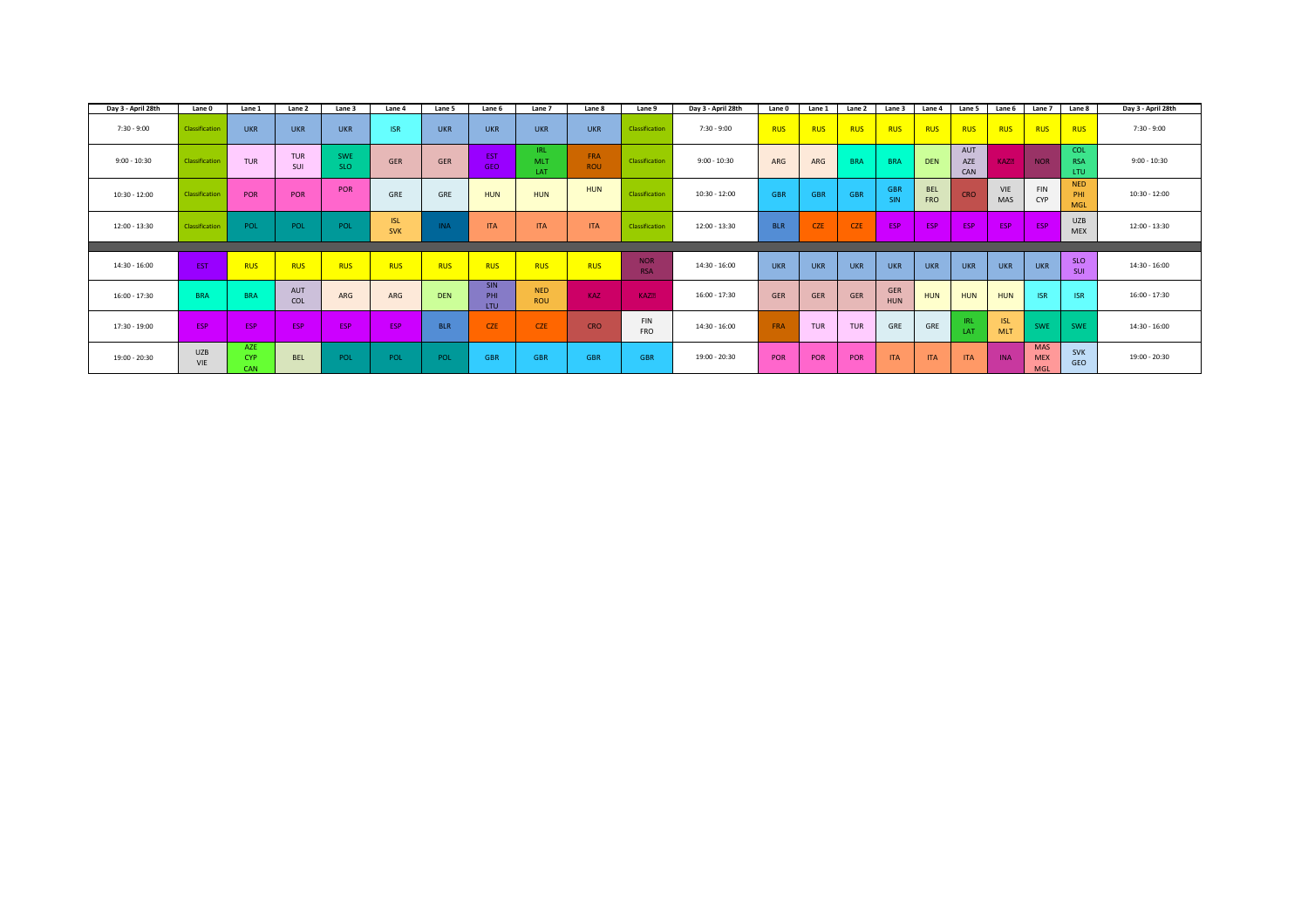| Day 3 - April 28th | <b>Lane 0</b>     | Lane 1                          | Lane 2            | Lane 3            | Lane 4                   | Lane 5     | Lane 6                          | Lane 7                          | Lane 8            | Lane 9                   | Day 3 - April 28th | Lane 0     | Lane 1     | Lane 2     | Lane 3                   | Lane 4                   | Lane 5                   | Lane 6                   | Lane 7                                 | Lane 8                          | Day 3 - April 28th |
|--------------------|-------------------|---------------------------------|-------------------|-------------------|--------------------------|------------|---------------------------------|---------------------------------|-------------------|--------------------------|--------------------|------------|------------|------------|--------------------------|--------------------------|--------------------------|--------------------------|----------------------------------------|---------------------------------|--------------------|
| 7:30 - 9:00        | Classification    | <b>UKR</b>                      | <b>UKR</b>        | <b>UKR</b>        | <b>ISR</b>               | <b>UKR</b> | <b>UKR</b>                      | <b>UKR</b>                      | <b>UKR</b>        | Classification           | 7:30 - 9:00        | <b>RUS</b> | <b>RUS</b> | <b>RUS</b> | <b>RUS</b>               | <b>RUS</b>               | <b>RUS</b>               | <b>RUS</b>               | RUS                                    | <b>RUS</b>                      | 7:30 - 9:00        |
| $9:00 - 10:30$     | Classification    | <b>TUR</b>                      | <b>TUR</b><br>SUI | <b>SWE</b><br>SLO | <b>GER</b>               | <b>GER</b> | <b>EST</b><br>GEO               | <b>IRL</b><br><b>MLT</b><br>LAT | FRA<br><b>ROU</b> | Classification           | $9:00 - 10:30$     | ARG        | ARG        | <b>BRA</b> | <b>BRA</b>               | <b>DEN</b>               | AUT<br>AZE<br>CAN        | <b>KAZD</b>              | <b>NOR</b>                             | <b>COL</b><br><b>RSA</b><br>LTU | $9:00 - 10:30$     |
| $10:30 - 12:00$    | Classification    | POR                             | <b>POR</b>        | POR               | GRE                      | GRE        | <b>HUN</b>                      | <b>HUN</b>                      | <b>HUN</b>        | Classification           | $10:30 - 12:00$    | <b>GBR</b> | <b>GBR</b> | <b>GBR</b> | <b>GBR</b><br><b>SIN</b> | <b>BEL</b><br><b>FRO</b> | CRO                      | <b>VIE</b><br><b>MAS</b> | <b>FIN</b><br><b>CYP</b>               | <b>NED</b><br>PHI<br><b>MGL</b> | $10:30 - 12:00$    |
| 12:00 - 13:30      | Classification    | POL                             | POL               | <b>POL</b>        | <b>ISL</b><br><b>SVK</b> | <b>INA</b> | <b>ITA</b>                      | <b>ITA</b>                      | <b>ITA</b>        | Classification           | 12:00 - 13:30      | <b>BLR</b> | <b>CZE</b> | <b>CZE</b> | <b>ESP</b>               | <b>ESP</b>               | ESP                      | <b>ESP</b>               | ESP                                    | <b>UZB</b><br><b>MEX</b>        | 12:00 - 13:30      |
|                    |                   |                                 |                   |                   |                          |            |                                 |                                 |                   |                          |                    |            |            |            |                          |                          |                          |                          |                                        |                                 |                    |
| 14:30 - 16:00      | EST               | <b>RUS</b>                      | <b>RUS</b>        | <b>RUS</b>        | <b>RUS</b>               | <b>RUS</b> | <b>RUS</b>                      | <b>RUS</b>                      | <b>RUS</b>        | <b>NOR</b><br><b>RSA</b> | 14:30 - 16:00      | <b>UKR</b> | <b>UKR</b> | <b>UKR</b> | <b>UKR</b>               | <b>UKR</b>               | <b>UKR</b>               | <b>UKR</b>               | <b>UKR</b>                             | <b>SLO</b><br>SUI               | 14:30 - 16:00      |
| 16:00 - 17:30      | <b>BRA</b>        | <b>BRA</b>                      | AUT<br>COL        | ARG               | ARG                      | <b>DEN</b> | <b>SIN</b><br>PHI<br><b>LTU</b> | <b>NED</b><br><b>ROU</b>        | <b>KAZ</b>        | <b>KAZD</b>              | $16:00 - 17:30$    | <b>GER</b> | <b>GER</b> | <b>GER</b> | <b>GER</b><br><b>HUN</b> | HUN                      | <b>HUN</b>               | <b>HUN</b>               | <b>ISR</b>                             | <b>ISR</b>                      | $16:00 - 17:30$    |
| 17:30 - 19:00      | ESP               | ESP                             | ESP               | ESP               | ESP                      | <b>BLR</b> | <b>CZE</b>                      | <b>CZE</b>                      | <b>CRO</b>        | <b>FIN</b><br><b>FRO</b> | $14:30 - 16:00$    | <b>FRA</b> | <b>TUR</b> | <b>TUR</b> | <b>GRE</b>               | <b>GRE</b>               | <b>IRL</b><br><b>LAT</b> | <b>ISL</b><br><b>MLT</b> | <b>SWE</b>                             | <b>SWE</b>                      | 14:30 - 16:00      |
| 19:00 - 20:30      | <b>UZB</b><br>VIE | AZE<br><b>CYP</b><br><b>CAN</b> | <b>BEL</b>        | POL               | POL                      | POL        | <b>GBR</b>                      | <b>GBR</b>                      | <b>GBR</b>        | <b>GBR</b>               | 19:00 - 20:30      | POR        | POR        | POR        | <b>ITA</b>               | <b>ITA</b>               | <b>ITA</b>               | <b>INA</b>               | <b>MAS</b><br><b>MEX</b><br><b>MGL</b> | <b>SVK</b><br><b>GEO</b>        | 19:00 - 20:30      |